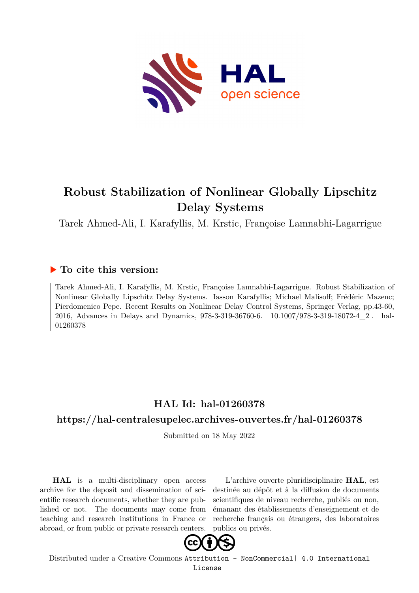

# **Robust Stabilization of Nonlinear Globally Lipschitz Delay Systems**

Tarek Ahmed-Ali, I. Karafyllis, M. Krstic, Françoise Lamnabhi-Lagarrigue

## **To cite this version:**

Tarek Ahmed-Ali, I. Karafyllis, M. Krstic, Françoise Lamnabhi-Lagarrigue. Robust Stabilization of Nonlinear Globally Lipschitz Delay Systems. Iasson Karafyllis; Michael Malisoff; Frédéric Mazenc; Pierdomenico Pepe. Recent Results on Nonlinear Delay Control Systems, Springer Verlag, pp.43-60, 2016, Advances in Delays and Dynamics, 978-3-319-36760-6. 10.1007/978-3-319-18072-4\_2. hal-01260378ff

## **HAL Id: hal-01260378**

## **<https://hal-centralesupelec.archives-ouvertes.fr/hal-01260378>**

Submitted on 18 May 2022

**HAL** is a multi-disciplinary open access archive for the deposit and dissemination of scientific research documents, whether they are published or not. The documents may come from teaching and research institutions in France or abroad, or from public or private research centers.

L'archive ouverte pluridisciplinaire **HAL**, est destinée au dépôt et à la diffusion de documents scientifiques de niveau recherche, publiés ou non, émanant des établissements d'enseignement et de recherche français ou étrangers, des laboratoires publics ou privés.



Distributed under a Creative Commons [Attribution - NonCommercial| 4.0 International](http://creativecommons.org/licenses/by-nc/4.0/) [License](http://creativecommons.org/licenses/by-nc/4.0/)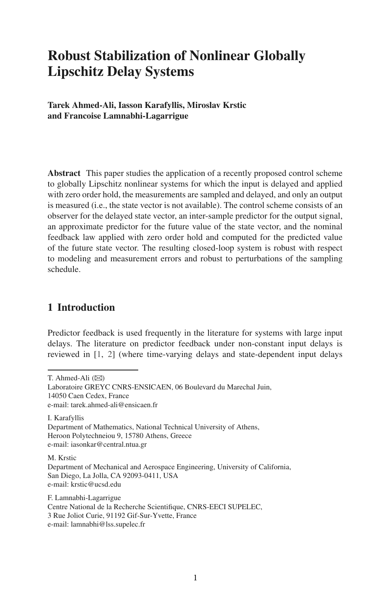## **Robust Stabilization of Nonlinear Globally Lipschitz Delay Systems**

**Tarek Ahmed-Ali, Iasson Karafyllis, Miroslav Krstic and Francoise Lamnabhi-Lagarrigue**

**Abstract** This paper studies the application of a recently proposed control scheme to globally Lipschitz nonlinear systems for which the input is delayed and applied with zero order hold, the measurements are sampled and delayed, and only an output is measured (i.e., the state vector is not available). The control scheme consists of an observer for the delayed state vector, an inter-sample predictor for the output signal, an approximate predictor for the future value of the state vector, and the nominal feedback law applied with zero order hold and computed for the predicted value of the future state vector. The resulting closed-loop system is robust with respect to modeling and measurement errors and robust to perturbations of the sampling schedule.

## **1 Introduction**

Predictor feedback is used frequently in the literature for systems with large input delays. The literature on predictor feedback under non-constant input delays is reviewed in [1, 2] (where time-varying delays and state-dependent input delays

I. Karafyllis Department of Mathematics, National Technical University of Athens, Heroon Polytechneiou 9, 15780 Athens, Greece e-mail: iasonkar@central.ntua.gr

M. Krstic

F. Lamnabhi-Lagarrigue Centre National de la Recherche Scientifique, CNRS-EECI SUPELEC, 3 Rue Joliot Curie, 91192 Gif-Sur-Yvette, France e-mail: lamnabhi@lss.supelec.fr

T. Ahmed-Ali  $(\boxtimes)$ 

Laboratoire GREYC CNRS-ENSICAEN, 06 Boulevard du Marechal Juin, 14050 Caen Cedex, France e-mail: tarek.ahmed-ali@ensicaen.fr

Department of Mechanical and Aerospace Engineering, University of California, San Diego, La Jolla, CA 92093-0411, USA e-mail: krstic@ucsd.edu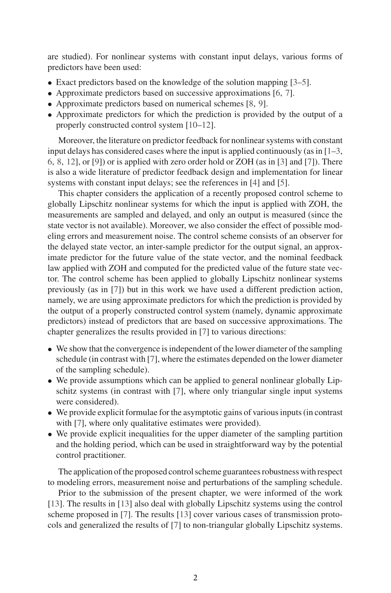are studied). For nonlinear systems with constant input delays, various forms of predictors have been used:

- Exact predictors based on the knowledge of the solution mapping [3–5].
- Approximate predictors based on successive approximations [6, 7].
- Approximate predictors based on numerical schemes [8, 9].
- Approximate predictors for which the prediction is provided by the output of a properly constructed control system [10–12].

Moreover, the literature on predictor feedback for nonlinear systems with constant input delays has considered cases where the input is applied continuously (as in [1–3, 6, 8, 12], or [9]) or is applied with zero order hold or ZOH (as in [3] and [7]). There is also a wide literature of predictor feedback design and implementation for linear systems with constant input delays; see the references in [4] and [5].

This chapter considers the application of a recently proposed control scheme to globally Lipschitz nonlinear systems for which the input is applied with ZOH, the measurements are sampled and delayed, and only an output is measured (since the state vector is not available). Moreover, we also consider the effect of possible modeling errors and measurement noise. The control scheme consists of an observer for the delayed state vector, an inter-sample predictor for the output signal, an approximate predictor for the future value of the state vector, and the nominal feedback law applied with ZOH and computed for the predicted value of the future state vector. The control scheme has been applied to globally Lipschitz nonlinear systems previously (as in [7]) but in this work we have used a different prediction action, namely, we are using approximate predictors for which the prediction is provided by the output of a properly constructed control system (namely, dynamic approximate predictors) instead of predictors that are based on successive approximations. The chapter generalizes the results provided in [7] to various directions:

- We show that the convergence is independent of the lower diameter of the sampling schedule (in contrast with [7], where the estimates depended on the lower diameter of the sampling schedule).
- We provide assumptions which can be applied to general nonlinear globally Lipschitz systems (in contrast with [7], where only triangular single input systems were considered).
- We provide explicit formulae for the asymptotic gains of various inputs (in contrast with [7], where only qualitative estimates were provided).
- We provide explicit inequalities for the upper diameter of the sampling partition and the holding period, which can be used in straightforward way by the potential control practitioner.

The application of the proposed control scheme guarantees robustness with respect to modeling errors, measurement noise and perturbations of the sampling schedule.

Prior to the submission of the present chapter, we were informed of the work [13]. The results in [13] also deal with globally Lipschitz systems using the control scheme proposed in [7]. The results [13] cover various cases of transmission protocols and generalized the results of [7] to non-triangular globally Lipschitz systems.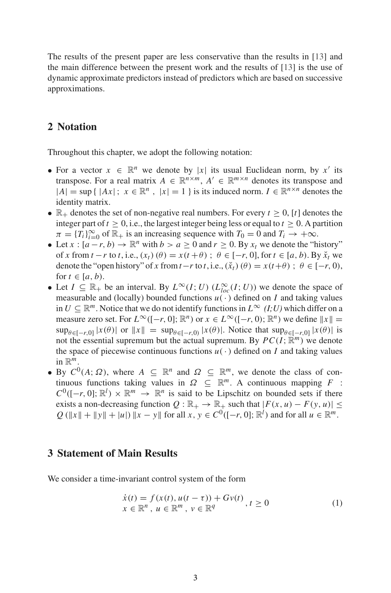The results of the present paper are less conservative than the results in [13] and the main difference between the present work and the results of [13] is the use of dynamic approximate predictors instead of predictors which are based on successive approximations.

## **2 Notation**

Throughout this chapter, we adopt the following notation:

- For a vector  $x \in \mathbb{R}^n$  we denote by  $|x|$  its usual Euclidean norm, by  $x'$  its transpose. For a real matrix  $A \in \mathbb{R}^{n \times m}$ ,  $A' \in \mathbb{R}^{m \times n}$  denotes its transpose and  $|A| = \sup \{ |Ax|; x \in \mathbb{R}^n, |x| = 1 \}$  is its induced norm.  $I \in \mathbb{R}^{n \times n}$  denotes the identity matrix.
- $\mathbb{R}_+$  denotes the set of non-negative real numbers. For every  $t \geq 0$ , [t] denotes the integer part of  $t \geq 0$ , i.e., the largest integer being less or equal to  $t \geq 0$ . A partition  $\pi = \{T_i\}_{i=0}^{\infty}$  of  $\mathbb{R}_+$  is an increasing sequence with  $T_0 = 0$  and  $T_i \to +\infty$ .
- Let  $x : [a r, b) \to \mathbb{R}^n$  with  $b > a \ge 0$  and  $r \ge 0$ . By  $x_t$  we denote the "history" of *x* from  $t - r$  to  $t$ , i.e.,  $(x_t)(\theta) = x(t + \theta)$ ;  $\theta \in [-r, 0]$ , for  $t \in [a, b)$ . By  $\breve{x}$ <sub>t</sub> we denote the "open history" of *x* from  $t - r$  to  $t$ , i.e.,  $(\tilde{x}_t)(\theta) = x(t+\theta)$ ;  $\theta \in [-r, 0)$ , for  $t \in [a, b)$ .
- Let  $I \subseteq \mathbb{R}_+$  be an interval. By  $L^{\infty}(I; U)$  ( $L^{\infty}_{loc}(I; U)$ ) we denote the space of measurable and (locally) bounded functions  $u(\cdot)$  defined on *I* and taking values in *U* ⊆  $\mathbb{R}^m$ . Notice that we do not identify functions in  $L^\infty$  *(I;U)* which differ on a measure zero set. For  $L^{\infty}([-r, 0]; \mathbb{R}^n)$  or  $x \in L^{\infty}([-r, 0); \mathbb{R}^n)$  we define  $||x|| =$  $\sup_{\theta \in [-r,0]} |x(\theta)|$  or  $||x|| = \sup_{\theta \in [-r,0)} |x(\theta)|$ . Notice that  $\sup_{\theta \in [-r,0]} |x(\theta)|$  is not the essential supremum but the actual supremum. By  $PC(I; \mathbb{R}^m)$  we denote the space of piecewise continuous functions  $u(\cdot)$  defined on *I* and taking values in R *m*.
- By  $C^0(A; \Omega)$ , where  $A \subseteq \mathbb{R}^n$  and  $\Omega \subseteq \mathbb{R}^m$ , we denote the class of continuous functions taking values in  $\Omega \subseteq \mathbb{R}^m$ . A continuous mapping *F* :  $C^0([-r, 0]; \mathbb{R}^l) \times \mathbb{R}^m \rightarrow \mathbb{R}^n$  is said to be Lipschitz on bounded sets if there exists a non-decreasing function  $Q : \mathbb{R}_+ \to \mathbb{R}_+$  such that  $|F(x, u) - F(y, u)| \le$  $Q$  ( $\|x\| + \|y\| + |u|$ )  $\|x - y\|$  for all  $x, y \in C^0([-r, 0]; \mathbb{R}^l)$  and for all  $u \in \mathbb{R}^m$ .

### **3 Statement of Main Results**

We consider a time-invariant control system of the form

$$
\begin{aligned} \dot{x}(t) &= f(x(t), u(t-\tau)) + Gv(t) \\ x &\in \mathbb{R}^n, u \in \mathbb{R}^m, v \in \mathbb{R}^q \end{aligned} \quad (1)
$$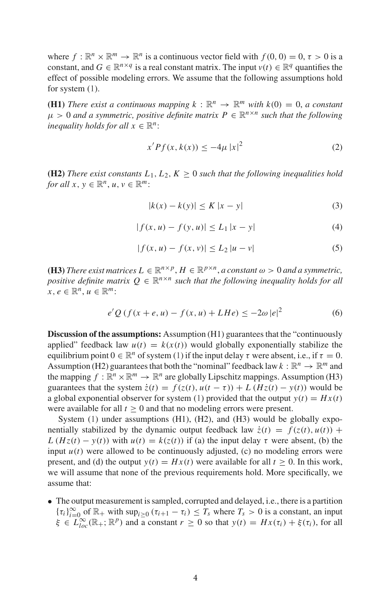where  $f : \mathbb{R}^n \times \mathbb{R}^m \to \mathbb{R}^n$  is a continuous vector field with  $f(0, 0) = 0, \tau > 0$  is a constant, and  $G \in \mathbb{R}^{n \times q}$  is a real constant matrix. The input  $v(t) \in \mathbb{R}^q$  quantifies the effect of possible modeling errors. We assume that the following assumptions hold for system  $(1)$ .

**(H1)** *There exist a continuous mapping*  $k : \mathbb{R}^n \to \mathbb{R}^m$  *with*  $k(0) = 0$ , *a constant*  $\mu > 0$  and a symmetric, positive definite matrix  $P \in \mathbb{R}^{n \times n}$  such that the following *inequality holds for all*  $x \in \mathbb{R}^n$ :

$$
x'Pf(x, k(x)) \le -4\mu |x|^2
$$
 (2)

**(H2)** *There exist constants*  $L_1, L_2, K \geq 0$  *such that the following inequalities hold for all*  $x, y \in \mathbb{R}^n, u, v \in \mathbb{R}^m$ :

$$
|k(x) - k(y)| \le K |x - y|
$$
 (3)

$$
|f(x, u) - f(y, u)| \le L_1 |x - y| \tag{4}
$$

$$
|f(x, u) - f(x, v)| \le L_2 |u - v|
$$
 (5)

**(H3)** *There exist matrices*  $L \in \mathbb{R}^{n \times p}$ ,  $H \in \mathbb{R}^{p \times n}$ , *a constant*  $\omega > 0$  *and a symmetric*, *positive definite matrix*  $Q \in \mathbb{R}^{n \times n}$  such that the following inequality holds for all  $x, e \in \mathbb{R}^n, u \in \mathbb{R}^m$ :

$$
e'Q(f(x+e, u) - f(x, u) + LHe) \le -2\omega |e|^2
$$
 (6)

**Discussion of the assumptions:** Assumption (H1) guarantees that the "continuously applied" feedback law  $u(t) = k(x(t))$  would globally exponentially stabilize the equilibrium point  $0 \in \mathbb{R}^n$  of system (1) if the input delay  $\tau$  were absent, i.e., if  $\tau = 0$ . Assumption (H2) guarantees that both the "nominal" feedback law  $k : \mathbb{R}^n \to \mathbb{R}^m$  and the mapping  $f : \mathbb{R}^n \times \mathbb{R}^m \to \mathbb{R}^n$  are globally Lipschitz mappings. Assumption (H3) guarantees that the system  $\dot{z}(t) = f(z(t), u(t - \tau)) + L(Hz(t) - y(t))$  would be a global exponential observer for system (1) provided that the output  $y(t) = Hx(t)$ were available for all  $t > 0$  and that no modeling errors were present.

System (1) under assumptions (H1), (H2), and (H3) would be globally exponentially stabilized by the dynamic output feedback law  $\dot{z}(t) = f(z(t), u(t)) +$ *L* ( $Hz(t) - y(t)$ ) with  $u(t) = k(z(t))$  if (a) the input delay  $\tau$  were absent, (b) the input  $u(t)$  were allowed to be continuously adjusted, (c) no modeling errors were present, and (d) the output  $y(t) = Hx(t)$  were available for all  $t > 0$ . In this work, we will assume that none of the previous requirements hold. More specifically, we assume that:

• The output measurement is sampled, corrupted and delayed, i.e., there is a partition  ${ {\tau_i} \}_{i=0}^{\infty}$  of  $\mathbb{R}_+$  with  $\sup_{i \geq 0} ({\tau_{i+1} - \tau_i}) \leq T_s$  where  $T_s > 0$  is a constant, an input  $\xi \in L^{\infty}_{loc}(\mathbb{R}_+;\mathbb{R}^p)$  and a constant  $r \geq 0$  so that  $y(t) = Hx(\tau_i) + \xi(\tau_i)$ , for all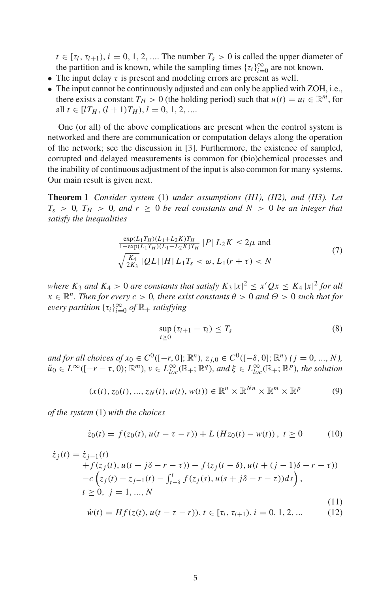$t \in [\tau_i, \tau_{i+1}), i = 0, 1, 2, \dots$  The number  $T_s > 0$  is called the upper diameter of the partition and is known, while the sampling times  $\{\tau_i\}_{i=0}^{\infty}$  are not known.

- The input delay  $\tau$  is present and modeling errors are present as well.
- The input cannot be continuously adjusted and can only be applied with ZOH, i.e., there exists a constant  $T_H > 0$  (the holding period) such that  $u(t) = u_l \in \mathbb{R}^m$ , for all *t* ∈ [ $lT_H$ ,  $(l+1)T_H$ ),  $l = 0, 1, 2, ...$

One (or all) of the above complications are present when the control system is networked and there are communication or computation delays along the operation of the network; see the discussion in [3]. Furthermore, the existence of sampled, corrupted and delayed measurements is common for (bio)chemical processes and the inability of continuous adjustment of the input is also common for many systems. Our main result is given next.

**Theorem 1** *Consider system* (1) *under assumptions (H1), (H2), and (H3). Let*  $T_s$  > 0*,*  $T_H$  > 0*, and r*  $\geq$  0 *be real constants and N* > 0 *be an integer that satisfy the inequalities*

$$
\frac{\exp(L_1 T_H)(L_1 + L_2 K)T_H}{1 - \exp(L_1 T_H)(L_1 + L_2 K)T_H} |P| L_2 K \le 2\mu \text{ and}
$$
  

$$
\sqrt{\frac{K_4}{2K_3}} |QL| |H| L_1 T_s < \omega, L_1 (r + \tau) < N
$$
 (7)

*where*  $K_3$  *and*  $K_4 > 0$  *are constants that satisfy*  $K_3 |x|^2 \le x'Qx \le K_4 |x|^2$  *for all*  $x \in \mathbb{R}^n$ . Then for every  $c > 0$ , there exist constants  $\theta > 0$  and  $\Theta > 0$  such that for  $\text{every partition } {\{\tau_i\}}_{i=0}^{\infty} \text{ of } \mathbb{R}_+ \text{ satisfying}$ 

$$
\sup_{i\geq 0} \left( \tau_{i+1} - \tau_i \right) \leq T_s \tag{8}
$$

*and for all choices of*  $x_0 \in C^0([-r, 0]; \mathbb{R}^n)$ ,  $z_{j,0} \in C^0([-{\delta}, 0]; \mathbb{R}^n)$   $(j = 0, ..., N)$ ,  $\widetilde{u}_0 \in L^{\infty}([-r - \tau, 0); \mathbb{R}^m)$ ,  $v \in L^{\infty}_{loc}(\mathbb{R}_+; \mathbb{R}^q)$ , and  $\xi \in L^{\infty}_{loc}(\mathbb{R}_+; \mathbb{R}^p)$ , the solution

$$
(x(t), z_0(t), ..., z_N(t), u(t), w(t)) \in \mathbb{R}^n \times \mathbb{R}^{N_n} \times \mathbb{R}^m \times \mathbb{R}^p
$$
 (9)

*of the system* (1) *with the choices*

$$
\dot{z}_0(t) = f(z_0(t), u(t - \tau - r)) + L (Hz_0(t) - w(t)), \ t \ge 0 \tag{10}
$$

$$
\dot{z}_j(t) = \dot{z}_{j-1}(t) \n+ f(z_j(t), u(t + j\delta - r - \tau)) - f(z_j(t - \delta), u(t + (j - 1)\delta - r - \tau)) \n- c (z_j(t) - z_{j-1}(t) - \int_{t-\delta}^t f(z_j(s), u(s + j\delta - r - \tau)) ds), \nt \ge 0, j = 1, ..., N \n\dot{w}(t) = Hf(z(t), u(t - \tau - r)), t \in [\tau_i, \tau_{i+1}), i = 0, 1, 2, ...
$$
\n(12)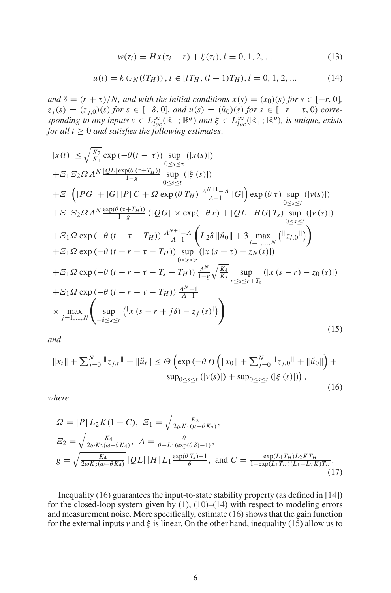$$
w(\tau_i) = Hx(\tau_i - r) + \xi(\tau_i), i = 0, 1, 2, ... \tag{13}
$$

$$
u(t) = k (z_N(lT_H)), t \in [lT_H, (l+1)T_H), l = 0, 1, 2, ... \tag{14}
$$

*and*  $\delta = (r + \tau)/N$ *, and with the initial conditions*  $x(s) = (x_0)(s)$  *for*  $s \in [-r, 0]$ *,*  $z_j(s) = (z_{j,0})(s)$  *for*  $s \in [-\delta, 0]$ *, and*  $u(s) = (\check{u}_0)(s)$  *for*  $s \in [-r - \tau, 0)$  *corresponding to any inputs*  $v \in L^{\infty}_{loc}(\mathbb{R}_+;\mathbb{R}^q)$  *and*  $\xi \in L^{\infty}_{loc}(\mathbb{R}_+;\mathbb{R}^p)$ *, is unique, exists for all t* ≥ 0 *and satisfies the following estimates*:

$$
|x(t)| \leq \sqrt{\frac{K_2}{K_1}} \exp(-\theta(t-\tau)) \sup_{0 \leq s \leq \tau} (|x(s)|)
$$
  
+
$$
E_1 E_2 \Omega \Lambda^N \frac{|QL| \exp(\theta(\tau+T_H))}{1-s} \sup_{0 \leq s \leq t} (|\xi(s)|)
$$
  
+
$$
E_1 (|PG| + |G| |P| C + \Omega \exp(\theta T_H) \frac{\Lambda^{N+1} - \Lambda}{\Lambda - 1} |G|) \exp(\theta \tau) \sup_{0 \leq s \leq t} (|v(s)|)
$$
  
+
$$
E_1 E_2 \Omega \Lambda^N \frac{\exp(\theta(\tau+T_H))}{1-s} (|QG| \times \exp(-\theta r) + |QL| |HG| T_s) \sup_{0 \leq s \leq t} (|v(s)|)
$$
  
+
$$
E_1 \Omega \exp(-\theta (t - \tau - T_H)) \frac{\Lambda^{N+1} - \Lambda}{\Lambda - 1} (L_2 \delta ||\breve{u}_0|| + 3 \max_{l=1,...,N} (||z_{l,0}||))
$$
  
+
$$
E_1 \Omega \exp(-\theta (t - r - \tau - T_H)) \sup_{0 \leq s \leq r} (|x(s + \tau) - z_N(s)|)
$$
  
+
$$
E_1 \Omega \exp(-\theta (t - r - \tau - T_s - T_H)) \frac{\Lambda^N}{1-s} \sqrt{\frac{K_4}{K_3}} \sup_{\tau \leq s \leq r + T_s} (|x(s - r) - z_0(s)|)
$$
  
+
$$
E_1 \Omega \exp(-\theta (t - r - \tau - T_H)) \frac{\Lambda^{N-1}}{\Lambda - 1}
$$
  
×
$$
\max_{j=1,...,N} ( \sup_{-\delta \leq s \leq r} (|x(s - r + j\delta) - z_j(s)|)
$$
 (15)

*and*

$$
||x_t|| + \sum_{j=0}^{N} ||z_{j,t}|| + ||\check{u}_t|| \le \Theta\left(\exp\left(-\theta t\right) \left(||x_0|| + \sum_{j=0}^{N} ||z_{j,0}|| + ||\check{u}_0||\right) + \sup_{0 \le s \le t} \left(|v(s)|\right) + \sup_{0 \le s \le t} \left(|\xi(s)|\right)\right),\tag{16}
$$

*where*

$$
\Omega = |P| L_2 K (1 + C), \quad \Sigma_1 = \sqrt{\frac{K_2}{2\mu K_1 (\mu - \theta K_2)}},
$$
\n
$$
\Sigma_2 = \sqrt{\frac{K_4}{2\omega K_3 (\omega - \theta K_4)}}, \quad \Lambda = \frac{\theta}{\theta - L_1 (\exp(\theta \delta) - 1)},
$$
\n
$$
g = \sqrt{\frac{K_4}{2\omega K_3 (\omega - \theta K_4)}} |QL| |H| L_1 \frac{\exp(\theta T_s) - 1}{\theta}, \text{ and } C = \frac{\exp(L_1 T_H) L_2 K T_H}{1 - \exp(L_1 T_H)(L_1 + L_2 K) T_H}.
$$
\n(17)

Inequality (16) guarantees the input-to-state stability property (as defined in [14]) for the closed-loop system given by  $(1)$ ,  $(10)$ – $(14)$  with respect to modeling errors and measurement noise. More specifically, estimate (16) shows that the gain function for the external inputs *v* and  $\xi$  is linear. On the other hand, inequality (15) allow us to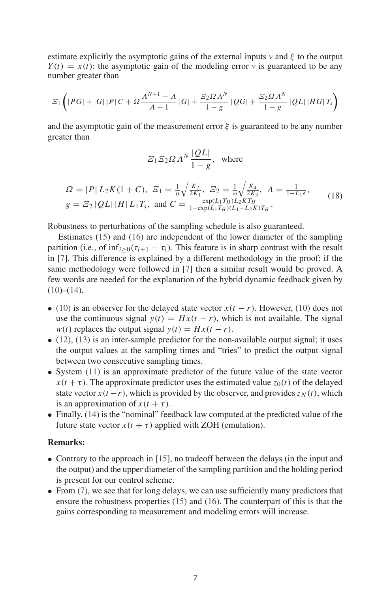estimate explicitly the asymptotic gains of the external inputs  $v$  and  $\xi$  to the output  $Y(t) = x(t)$ : the asymptotic gain of the modeling error *v* is guaranteed to be any number greater than

$$
\mathcal{Z}_1\left(|PG|+|G||P|C+ \Omega \frac{\Lambda^{N+1}-\Lambda}{\Lambda-1}|G|+\frac{\mathcal{Z}_2\Omega \Lambda^N}{1-g}|QG|+\frac{\mathcal{Z}_2\Omega \Lambda^N}{1-g}|QL||HG|T_s\right)
$$

and the asymptotic gain of the measurement error  $\xi$  is guaranteed to be any number greater than

$$
\mathcal{Z}_1 \mathcal{Z}_2 \Omega \Lambda^N \frac{|QL|}{1 - g}, \text{ where}
$$

$$
\Omega = |P| L_2 K (1 + C), \ \mathcal{Z}_1 = \frac{1}{\mu} \sqrt{\frac{K_2}{2K_1}}, \ \mathcal{Z}_2 = \frac{1}{\omega} \sqrt{\frac{K_4}{2K_3}}, \ \Lambda = \frac{1}{1 - L_1 \delta},
$$
\n
$$
g = \mathcal{Z}_2 |QL| |H| L_1 T_s, \text{ and } C = \frac{\exp(L_1 T_H) L_2 K T_H}{1 - \exp(L_1 T_H)(L_1 + L_2 K) T_H}.
$$
\n(18)

Robustness to perturbations of the sampling schedule is also guaranteed.

Estimates (15) and (16) are independent of the lower diameter of the sampling partition (i.e., of  $\inf_{i>0}(\tau_{i+1} - \tau_i)$ ). This feature is in sharp contrast with the result in [7]. This difference is explained by a different methodology in the proof; if the same methodology were followed in [7] then a similar result would be proved. A few words are needed for the explanation of the hybrid dynamic feedback given by  $(10)–(14)$ .

- (10) is an observer for the delayed state vector  $x(t r)$ . However, (10) does not use the continuous signal  $y(t) = Hx(t - r)$ , which is not available. The signal *w*(*t*) replaces the output signal *y*(*t*) =  $Hx(t - r)$ .
- $\bullet$  (12), (13) is an inter-sample predictor for the non-available output signal; it uses the output values at the sampling times and "tries" to predict the output signal between two consecutive sampling times.
- System (11) is an approximate predictor of the future value of the state vector  $x(t + \tau)$ . The approximate predictor uses the estimated value  $z_0(t)$  of the delayed state vector  $x(t - r)$ , which is provided by the observer, and provides  $z_N(t)$ , which is an approximation of  $x(t + \tau)$ .
- Finally, (14) is the "nominal" feedback law computed at the predicted value of the future state vector  $x(t + \tau)$  applied with ZOH (emulation).

#### **Remarks:**

- Contrary to the approach in [15], no tradeoff between the delays (in the input and the output) and the upper diameter of the sampling partition and the holding period is present for our control scheme.
- From (7), we see that for long delays, we can use sufficiently many predictors that ensure the robustness properties (15) and (16). The counterpart of this is that the gains corresponding to measurement and modeling errors will increase.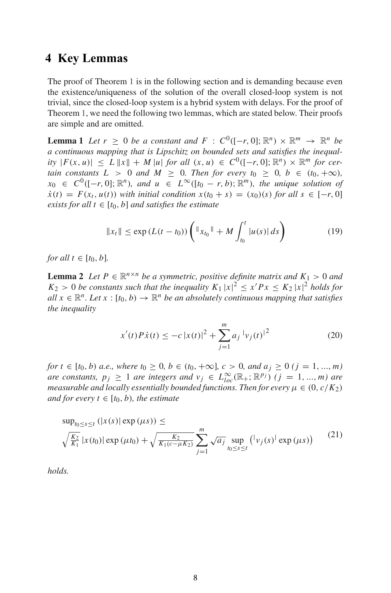## **4 Key Lemmas**

The proof of Theorem 1 is in the following section and is demanding because even the existence/uniqueness of the solution of the overall closed-loop system is not trivial, since the closed-loop system is a hybrid system with delays. For the proof of Theorem 1, we need the following two lemmas, which are stated below. Their proofs are simple and are omitted.

**Lemma 1** *Let*  $r \ge 0$  *be a constant and*  $F : C^0([-r, 0]; \mathbb{R}^n) \times \mathbb{R}^m \rightarrow \mathbb{R}^n$  *be a continuous mapping that is Lipschitz on bounded sets and satisfies the inequal-* $\int f(x, u) dx \leq L \|x\| + M \|u\|$  *for all*  $(x, u) \in C^0([-r, 0]; \mathbb{R}^n) \times \mathbb{R}^m$  *for certain constants*  $L > 0$  *and*  $M \geq 0$ *. Then for every t*<sub>0</sub>  $\geq 0$ *, b*  $\in (t_0, +\infty)$ *,*  $x_0 \in C^0([-r, 0]; \mathbb{R}^n)$ , and  $u \in L^\infty([t_0 - r, b); \mathbb{R}^m)$ , the unique solution of  $\dot{x}(t) = F(x_t, u(t))$  *with initial condition*  $x(t_0 + s) = (x_0)(s)$  *for all*  $s \in [-r, 0]$ *exists for all*  $t \in [t_0, b]$  *and satisfies the estimate* 

$$
||x_t|| \le \exp\left(L(t-t_0)\right) \left( ||x_{t_0}|| + M \int_{t_0}^t |u(s)| \, ds\right) \tag{19}
$$

*for all*  $t \in [t_0, b]$ *.* 

**Lemma 2** *Let*  $P \in \mathbb{R}^{n \times n}$  *be a symmetric, positive definite matrix and*  $K_1 > 0$  *and*  $K_2 > 0$  *be constants such that the inequality*  $K_1 |x|^2 \le x' Px \le K_2 |x|^2$  *holds for*  $all \ x \in \mathbb{R}^n$ . Let  $x : [t_0, b) \to \mathbb{R}^n$  *be an absolutely continuous mapping that satisfies the inequality*

$$
x'(t)P\dot{x}(t) \le -c |x(t)|^2 + \sum_{j=1}^m a_j |v_j(t)|^2
$$
 (20)

*for*  $t \in [t_0, b)$  *a.e., where*  $t_0 \geq 0$ *,*  $b \in (t_0, +\infty]$ *,*  $c > 0$ *, and*  $a_i \geq 0$  ( $j = 1, ..., m$ ) *are constants,*  $p_j \geq 1$  *are integers and*  $v_j \in L^{\infty}_{loc}(\mathbb{R}_+;\mathbb{R}^{p_j})$   $(j = 1, ..., m)$  *are measurable and locally essentially bounded functions. Then for every*  $\mu \in (0, c/K_2)$ *and for every t*  $\in$   $[t_0, b)$ *, the estimate* 

$$
\sup_{t_0 \le s \le t} (|x(s)| \exp(\mu s)) \le \sqrt{\frac{K_2}{K_1}} \sup_{t \ge 0} (\mu s) + \sqrt{\frac{K_2}{K_1(c - \mu K_2)}} \sum_{j=1}^m \sqrt{a_j} \sup_{t_0 \le s \le t} (|v_j(s)| \exp(\mu s)) \qquad (21)
$$

*holds.*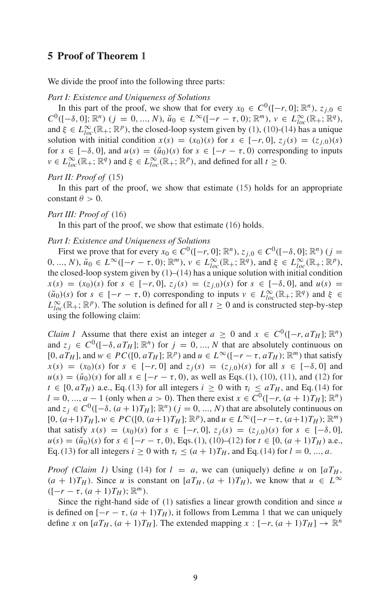### **5 Proof of Theorem 1**

We divide the proof into the following three parts:

#### *Part I: Existence and Uniqueness of Solutions*

In this part of the proof, we show that for every  $x_0 \in C^0([-r, 0]; \mathbb{R}^n)$ ,  $z_{j,0} \in$  $C^0([-0.0]; \mathbb{R}^n)$  (*j* = 0, ..., *N*),  $\breve{u}_0 \in L^\infty([-r-\tau, 0); \mathbb{R}^m)$ ,  $v \in L^\infty_{loc}(\mathbb{R}_+; \mathbb{R}^q)$ , and  $\xi \in L^{\infty}_{loc}(\mathbb{R}_+;\mathbb{R}^p)$ , the closed-loop system given by (1), (10)-(14) has a unique solution with initial condition  $x(s) = (x_0)(s)$  for  $s \in [-r, 0], z_i(s) = (z_{i,0})(s)$ for  $s \in [-\delta, 0]$ , and  $u(s) = (\check{u}_0)(s)$  for  $s \in [-r - \tau, 0)$  corresponding to inputs  $v \in L^{\infty}_{loc}(\mathbb{R}_+; \mathbb{R}^q)$  and  $\xi \in L^{\infty}_{loc}(\mathbb{R}_+; \mathbb{R}^p)$ , and defined for all  $t \ge 0$ .

#### *Part II: Proof of* (15)

In this part of the proof, we show that estimate (15) holds for an appropriate constant  $\theta > 0$ .

#### *Part III: Proof of* (16)

In this part of the proof, we show that estimate (16) holds.

#### *Part I: Existence and Uniqueness of Solutions*

First we prove that for every  $x_0 \in C^0([-r, 0]; \mathbb{R}^n)$ ,  $z_{j,0} \in C^0([- \delta, 0]; \mathbb{R}^n)$  ( $j =$  $(0, ..., N), \, \breve{u}_0 \in L^{\infty}([-r - \tau, 0); \mathbb{R}^m), \, v \in L^{\infty}_{loc}(\mathbb{R}_+; \mathbb{R}^q), \text{ and } \xi \in L^{\infty}_{loc}(\mathbb{R}_+; \mathbb{R}^p),$ the closed-loop system given by (1)–(14) has a unique solution with initial condition *x*(*s*) = (*x*<sub>0</sub>)(*s*) for *s* ∈ [−*r*, 0], *z*<sub>*j*</sub>(*s*) = (*z*<sub>*i*,0</sub>)(*s*) for *s* ∈ [− $\delta$ , 0], and *u*(*s*) =  $(\check{u}_0)(s)$  for  $s \in [-r - \tau, 0)$  corresponding to inputs  $v \in L^{\infty}_{loc}(\mathbb{R}_+; \mathbb{R}^q)$  and  $\xi \in$  $L^{\infty}_{loc}(\mathbb{R}_+;\mathbb{R}^p)$ . The solution is defined for all  $t \geq 0$  and is constructed step-by-step using the following claim:

*Claim 1* Assume that there exist an integer  $a \geq 0$  and  $x \in C^0([-r, aT_H]; \mathbb{R}^n)$ and  $z_j \in C^0([-\delta, aT_H]; \mathbb{R}^n)$  for  $j = 0, ..., N$  that are absolutely continuous on  $[0, aT_H]$ , and  $w \in PC([0, aT_H]; \mathbb{R}^p)$  and  $u \in L^\infty([-r - \tau, aT_H]; \mathbb{R}^m)$  that satisfy  $x(s) = (x_0)(s)$  for  $s \in [-r, 0]$  and  $z_i(s) = (z_i)_0(s)$  for all  $s \in [-\delta, 0]$  and  $u(s) = (\check{u}_0)(s)$  for all  $s \in [-r - \tau, 0)$ , as well as Eqs. (1), (10), (11), and (12) for  $t \in [0, aT_H)$  a.e., Eq. (13) for all integers  $i \ge 0$  with  $\tau_i \le aT_H$ , and Eq. (14) for *l* = 0, ..., *a* − 1 (only when *a* > 0). Then there exist *x* ∈  $C^0([-r, (a+1)T_H]; \mathbb{R}^n)$ and  $z_j \in C^0([- \delta, (a+1)T_H]; \mathbb{R}^n)$   $(j = 0, ..., N)$  that are absolutely continuous on  $[0, (a+1)T_H]$ ,  $w \in PC([0, (a+1)T_H]; \mathbb{R}^p)$ , and  $u \in L^{\infty}([-r-\tau, (a+1)T_H); \mathbb{R}^m)$ that satisfy  $x(s) = (x_0)(s)$  for  $s \in [-r, 0], z_i(s) = (z_{i,0})(s)$  for  $s \in [-\delta, 0],$  $u(s) = (\check{u}_0)(s)$  for  $s \in [-r - \tau, 0)$ , Eqs. (1), (10)–(12) for  $t \in [0, (a + 1)T_H)$  a.e., Eq. (13) for all integers  $i \ge 0$  with  $\tau_i \le (a+1)T_H$ , and Eq. (14) for  $l = 0, ..., a$ .

*Proof (Claim 1)* Using (14) for  $l = a$ , we can (uniquely) define *u* on [ $aT_H$ ,  $(a + 1)T_H$ ). Since *u* is constant on  $[aT_H, (a + 1)T_H)$ , we know that  $u \in L^{\infty}$  $([-r - \tau, (a + 1)T_H); \mathbb{R}^m).$ 

Since the right-hand side of (1) satisfies a linear growth condition and since *u* is defined on  $[-r - \tau, (a + 1)T_H)$ , it follows from Lemma 1 that we can uniquely define *x* on  $[aT_H, (a+1)T_H]$ . The extended mapping  $x : [-r, (a+1)T_H] \to \mathbb{R}^n$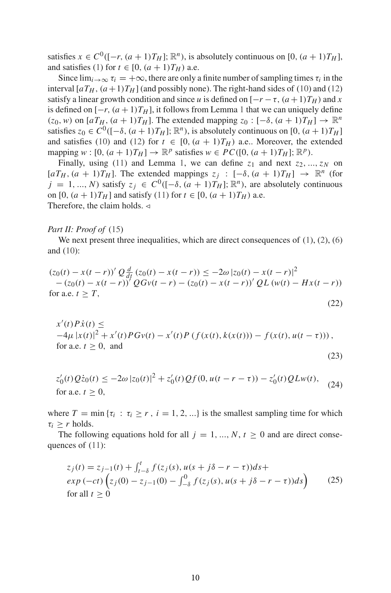satisfies  $x \in C^0([-r, (a+1)T_H]; \mathbb{R}^n)$ , is absolutely continuous on  $[0, (a+1)T_H]$ , and satisfies (1) for  $t \in [0, (a+1)T_H)$  a.e.

Since  $\lim_{i\to\infty} \tau_i = +\infty$ , there are only a finite number of sampling times  $\tau_i$  in the interval  $[aT_H, (a+1)T_H]$  (and possibly none). The right-hand sides of (10) and (12) satisfy a linear growth condition and since *u* is defined on  $[-r - \tau, (a+1)T_H)$  and *x* is defined on  $[-r, (a + 1)T_H]$ , it follows from Lemma 1 that we can uniquely define  $(z_0, w)$  on  $[aT_H, (a+1)T_H]$ . The extended mapping  $z_0 : [-\delta, (a+1)T_H] \rightarrow \mathbb{R}^n$ satisfies  $z_0 \in C^0([-{\delta}, (a+1)T_H]; \mathbb{R}^n)$ , is absolutely continuous on  $[0, (a+1)T_H]$ and satisfies (10) and (12) for  $t \in [0, (a + 1)T_H)$  a.e.. Moreover, the extended mapping  $w : [0, (a+1)T_H] \rightarrow \mathbb{R}^p$  satisfies  $w \in PC([0, (a+1)T_H]; \mathbb{R}^p)$ .

Finally, using (11) and Lemma 1, we can define  $z_1$  and next  $z_2, ..., z_N$  on  $[aT_H, (a + 1)T_H]$ . The extended mappings  $z_j : [-\delta, (a + 1)T_H] \rightarrow \mathbb{R}^n$  (for  $j = 1, ..., N$ ) satisfy  $z_j \in C^0([-8, (a + 1)T_H]; \mathbb{R}^n)$ , are absolutely continuous on  $[0, (a+1)T_H]$  and satisfy (11) for  $t \in [0, (a+1)T_H)$  a.e. Therefore, the claim holds.  $\triangleleft$ 

#### *Part II: Proof of* (15)

We next present three inequalities, which are direct consequences of  $(1)$ ,  $(2)$ ,  $(6)$ and (10):

$$
(z_0(t) - x(t - r))' Q \frac{d}{dt} (z_0(t) - x(t - r)) \le -2\omega |z_0(t) - x(t - r)|^2
$$
  
-(z<sub>0</sub>(t) - x(t - r))' QGv(t - r) - (z<sub>0</sub>(t) - x(t - r))' QL (w(t) - Hx(t - r))  
for a.e. t \ge T, (22)

$$
x'(t)P\dot{x}(t) \le -4\mu |x(t)|^2 + x'(t)PGv(t) - x'(t)P(f(x(t), k(x(t))) - f(x(t), u(t - \tau))),
$$
  
for a.e.  $t \ge 0$ , and (23)

$$
z'_0(t)Q\dot{z}_0(t) \le -2\omega |z_0(t)|^2 + z'_0(t)Qf(0, u(t - r - \tau)) - z'_0(t)QLw(t),
$$
  
for a.e.  $t \ge 0$ , (24)

where  $T = \min \{ \tau_i : \tau_i \ge r , i = 1, 2, \ldots \}$  is the smallest sampling time for which  $\tau_i > r$  holds.

The following equations hold for all  $j = 1, ..., N, t \ge 0$  and are direct consequences of (11):

$$
z_j(t) = z_{j-1}(t) + \int_{t-\delta}^t f(z_j(s), u(s + j\delta - r - \tau))ds + \exp(-ct) \left( z_j(0) - z_{j-1}(0) - \int_{-\delta}^0 f(z_j(s), u(s + j\delta - r - \tau))ds \right)
$$
(25)  
for all  $t \ge 0$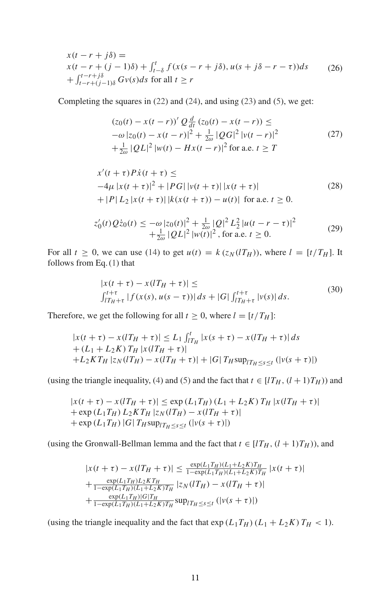$$
x(t - r + j\delta) =
$$
  
\n
$$
x(t - r + (j - 1)\delta) + \int_{t-\delta}^{t} f(x(s - r + j\delta), u(s + j\delta - r - \tau))ds
$$
 (26)  
\n
$$
+ \int_{t-r+(j-1)\delta}^{t-r+j\delta} Gv(s)ds \text{ for all } t \geq r
$$

Completing the squares in (22) and (24), and using (23) and (5), we get:

$$
(z_0(t) - x(t - r))' Q \frac{d}{dt} (z_0(t) - x(t - r)) \le
$$
  
\n
$$
-\omega |z_0(t) - x(t - r)|^2 + \frac{1}{2\omega} |QG|^2 |v(t - r)|^2
$$
  
\n
$$
+\frac{1}{2\omega} |QL|^2 |w(t) - Hx(t - r)|^2 \text{ for a.e. } t \ge T
$$
\n(27)

$$
x'(t + \tau)P\dot{x}(t + \tau) \le
$$
  
\n
$$
-4\mu |x(t + \tau)|^2 + |PG| |v(t + \tau)| |x(t + \tau)|
$$
  
\n
$$
+ |P| L_2 |x(t + \tau)| |k(x(t + \tau)) - u(t)| \text{ for a.e. } t \ge 0.
$$
\n(28)

$$
z'_0(t)Q\dot{z}_0(t) \leq -\omega |z_0(t)|^2 + \frac{1}{2\omega} |Q|^2 L_2^2 |u(t - r - \tau)|^2
$$
  
+ 
$$
\frac{1}{2\omega} |QL|^2 |w(t)|^2, \text{ for a.e. } t \geq 0.
$$
 (29)

For all  $t \geq 0$ , we can use (14) to get  $u(t) = k(z_N(T_H))$ , where  $l = [t/T_H]$ . It follows from Eq. (1) that

$$
|x(t + \tau) - x(IT_H + \tau)| \le
$$
  

$$
\int_{IT_H + \tau}^{t + \tau} |f(x(s), u(s - \tau))| ds + |G| \int_{IT_H + \tau}^{t + \tau} |v(s)| ds.
$$
 (30)

Therefore, we get the following for all  $t \geq 0$ , where  $l = [t/T_H]$ :

$$
|x(t + \tau) - x(IT_H + \tau)| \le L_1 \int_{IT_H}^t |x(s + \tau) - x(IT_H + \tau)| ds
$$
  
+  $(L_1 + L_2 K) T_H |x(IT_H + \tau)|$   
+  $L_2 KT_H |z_N(IT_H) - x(IT_H + \tau)| + |G| T_H \sup_{IT_H \le s \le t} (|v(s + \tau)|)$ 

(using the triangle inequality, (4) and (5) and the fact that  $t \in [lT_H, (l+1)T_H)$ ) and

$$
|x(t + \tau) - x(T_H + \tau)| \le \exp(L_1 T_H) (L_1 + L_2 K) T_H |x(T_H + \tau)| + \exp(L_1 T_H) L_2 K T_H |z_N(T_H) - x(T_H + \tau)| + \exp(L_1 T_H) |G| T_H \sup_{|T_H \le s \le t} (|v(s + \tau)|)
$$

(using the Gronwall-Bellman lemma and the fact that  $t \in [lT_H, (l + 1)T_H)$ ), and

$$
|x(t + \tau) - x(T_H + \tau)| \le \frac{\exp(L_1 T_H)(L_1 + L_2 K)T_H}{1 - \exp(L_1 T_H)(L_1 + L_2 K)T_H} |x(t + \tau)|
$$
  
+ 
$$
\frac{\exp(L_1 T_H)L_2 K T_H}{1 - \exp(L_1 T_H)(L_1 + L_2 K)T_H} |z_N(T_H) - x(T_H + \tau)|
$$
  
+ 
$$
\frac{\exp(L_1 T_H)|G|T_H}{1 - \exp(L_1 T_H)(L_1 + L_2 K)T_H} \sup_{T_H \le s \le t} (|v(s + \tau)|)
$$

(using the triangle inequality and the fact that  $\exp(L_1T_H)(L_1 + L_2K)T_H < 1$ ).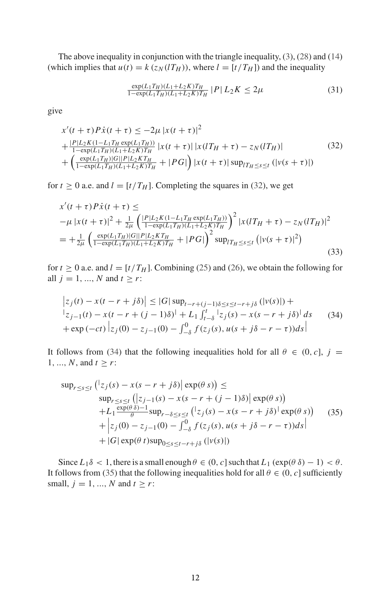The above inequality in conjunction with the triangle inequality, (3), (28) and (14) (which implies that  $u(t) = k(z_N(1T_H))$ , where  $l = [t/T_H]$ ) and the inequality

$$
\frac{\exp(L_1 T_H)(L_1 + L_2 K) T_H}{1 - \exp(L_1 T_H)(L_1 + L_2 K) T_H} |P| L_2 K \le 2\mu
$$
\n(31)

give

$$
x'(t+\tau)P\dot{x}(t+\tau) \le -2\mu |x(t+\tau)|^2
$$
  
+ 
$$
\frac{|P|L_2K(1-L_1T_H \exp(L_1T_H))}{1-\exp(L_1T_H)(L_1+L_2K)T_H} |x(t+\tau)| |x(lT_H+\tau) - z_N(lT_H)|
$$
  
+ 
$$
\left(\frac{\exp(L_1T_H)|G||P|L_2KT_H}{1-\exp(L_1T_H)(L_1+L_2K)T_H} + |PG|\right) |x(t+\tau)| \sup_{I\to S \le t} (|v(s+\tau)|)
$$
 (32)

for  $t \ge 0$  a.e. and  $l = [t/T_H]$ . Completing the squares in (32), we get

$$
x'(t+\tau)P\dot{x}(t+\tau) \le
$$
  
\n
$$
-\mu |x(t+\tau)|^2 + \frac{1}{2\mu} \left( \frac{|P|L_2K(1-L_1T_H \exp(L_1T_H))}{1-\exp(L_1T_H)(L_1+L_2K)T_H} \right)^2 |x(lT_H + \tau) - z_N(lT_H)|^2
$$
  
\n
$$
= +\frac{1}{2\mu} \left( \frac{\exp(L_1T_H)|G||P|L_2KT_H}{1-\exp(L_1T_H)(L_1+L_2K)T_H} + |PG| \right)^2 \sup_{I\uparrow H \leq s \leq t} (|v(s+\tau)|^2)
$$
\n(33)

for  $t \ge 0$  a.e. and  $l = [t/T_H]$ . Combining (25) and (26), we obtain the following for all  $j = 1, ..., N$  and  $t \ge r$ :

$$
\begin{aligned} \left| z_j(t) - x(t - r + j\delta) \right| &\leq |G| \sup_{t-r+(j-1)\delta \leq s \leq t-r+j\delta} (|v(s)|) + \\ & \left| z_{j-1}(t) - x(t - r + (j-1)\delta) \right| + L_1 \int_{t-\delta}^t |z_j(s) - x(s - r + j\delta) | ds \\ &+ \exp(-ct) \left| z_j(0) - z_{j-1}(0) - \int_{-\delta}^0 f(z_j(s), u(s + j\delta - r - \tau)) ds \right| \end{aligned} \tag{34}
$$

It follows from (34) that the following inequalities hold for all  $\theta \in (0, c]$ ,  $j =$ 1, ..., *N*, and  $t \ge r$ :

$$
\sup_{r \leq s \leq t} \left( \left| z_j(s) - x(s - r + j\delta) \right| \exp(\theta s) \right) \leq
$$
\n
$$
\sup_{r \leq s \leq t} \left( \left| z_{j-1}(s) - x(s - r + (j - 1)\delta) \right| \exp(\theta s) \right) + L_1 \frac{\exp(\theta \delta) - 1}{\theta} \sup_{r - \delta \leq s \leq t} \left( \left| z_j(s) - x(s - r + j\delta) \right| \exp(\theta s) \right) + \left| z_j(0) - z_{j-1}(0) - \int_{-\delta}^0 f(z_j(s), u(s + j\delta - r - \tau)) ds \right| + |G| \exp(\theta t) \sup_{0 \leq s \leq t - r + j\delta} (|v(s)|)
$$
\n(35)

Since  $L_1 \delta < 1$ , there is a small enough  $\theta \in (0, c]$  such that  $L_1 (\exp(\theta \delta) - 1) < \theta$ . It follows from (35) that the following inequalities hold for all  $\theta \in (0, c]$  sufficiently small,  $j = 1, ..., N$  and  $t \ge r$ :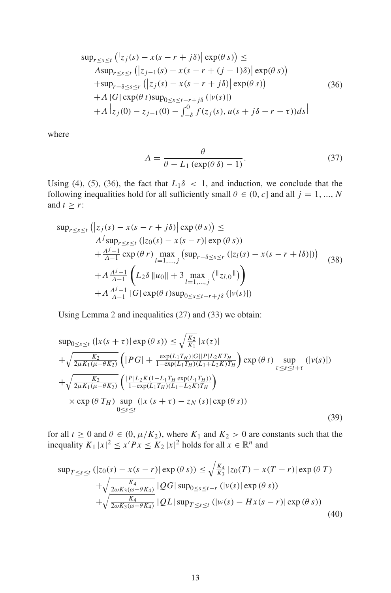$$
\sup_{r \leq s \leq t} (|z_j(s) - x(s - r + j\delta)| \exp(\theta s)) \leq
$$
  
\n
$$
A \sup_{r \leq s \leq t} (|z_{j-1}(s) - x(s - r + (j - 1)\delta)| \exp(\theta s))
$$
  
\n
$$
+ \sup_{r-\delta \leq s \leq r} (|z_j(s) - x(s - r + j\delta)| \exp(\theta s))
$$
  
\n
$$
+ A |G| \exp(\theta t) \sup_{0 \leq s \leq t-r+j\delta} (|v(s)|)
$$
  
\n
$$
+ A |z_j(0) - z_{j-1}(0) - \int_{-\delta}^{0} f(z_j(s), u(s + j\delta - r - \tau)) ds|
$$
\n(36)

where

$$
\Lambda = \frac{\theta}{\theta - L_1 \left( \exp(\theta \, \delta) - 1 \right)}.\tag{37}
$$

Using (4), (5), (36), the fact that  $L_1\delta < 1$ , and induction, we conclude that the following inequalities hold for all sufficiently small  $\theta \in (0, c]$  and all  $j = 1, ..., N$ and  $t \geq r$ :

$$
\sup_{r \leq s \leq t} (|z_j(s) - x(s - r + j\delta)| \exp(\theta s)) \leq
$$
\n
$$
A^j \sup_{r \leq s \leq t} (|z_0(s) - x(s - r)| \exp(\theta s))
$$
\n
$$
+ \frac{A^{j-1}}{A-1} \exp(\theta r) \max_{l=1,\dots,j} (\sup_{r-\delta \leq s \leq r} (|z_l(s) - x(s - r + l\delta)|))
$$
\n
$$
+ A \frac{A^{j-1}}{A-1} \left( L_2 \delta \|u_0\| + 3 \max_{l=1,\dots,j} (||z_{l,0}||) \right)
$$
\n
$$
+ A \frac{A^{j-1}}{A-1} |G| \exp(\theta t) \sup_{0 \leq s \leq t-r+j\delta} (|v(s)|)
$$
\n(38)

Using Lemma 2 and inequalities (27) and (33) we obtain:

$$
\sup_{0 \le s \le t} (|x(s + \tau)| \exp(\theta s)) \le \sqrt{\frac{K_2}{K_1}} |x(\tau)|
$$
  
+  $\sqrt{\frac{K_2}{2\mu K_1(\mu - \theta K_2)}} \left( |PG| + \frac{\exp(L_1 T_H) |G||P| L_2 K T_H}{1 - \exp(L_1 T_H) (L_1 + L_2 K) T_H} \right) \exp(\theta t) \sup_{\tau \le s \le t + \tau} (|v(s)|)$   
+  $\sqrt{\frac{K_2}{2\mu K_1(\mu - \theta K_2)}} \left( \frac{|P| L_2 K (1 - L_1 T_H \exp(L_1 T_H))}{1 - \exp(L_1 T_H) (L_1 + L_2 K) T_H} \right)$   
×  $\exp(\theta T_H) \sup_{0 \le s \le t} (|x(s + \tau) - z_N(s)| \exp(\theta s))$  (39)

for all  $t \ge 0$  and  $\theta \in (0, \mu/K_2)$ , where  $K_1$  and  $K_2 > 0$  are constants such that the inequality  $K_1 |x|^2 \le x' Px \le K_2 |x|^2$  holds for all  $x \in \mathbb{R}^n$  and

$$
\sup_{T \le s \le t} (|z_0(s) - x(s - r)| \exp(\theta s)) \le \sqrt{\frac{K_4}{K_3}} |z_0(T) - x(T - r)| \exp(\theta T) + \sqrt{\frac{K_4}{2\omega K_3(\omega - \theta K_4)}} |QG| \sup_{0 \le s \le t - r} (|v(s)| \exp(\theta s)) + \sqrt{\frac{K_4}{2\omega K_3(\omega - \theta K_4)}} |QL| \sup_{T \le s \le t} (|w(s) - Hx(s - r)| \exp(\theta s))
$$
(40)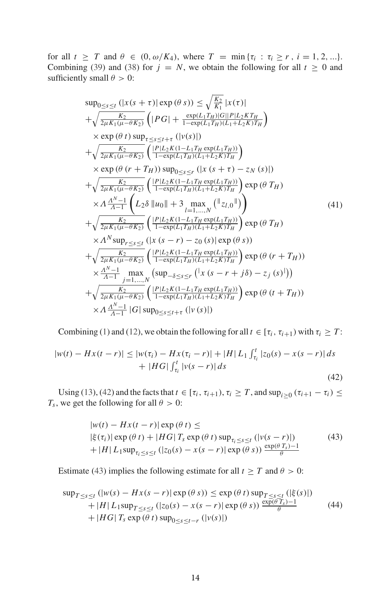for all  $t \geq T$  and  $\theta \in (0, \omega/K_4)$ , where  $T = \min{\{\tau_i : \tau_i \geq r, i = 1, 2, ...\}}$ . Combining (39) and (38) for  $j = N$ , we obtain the following for all  $t \ge 0$  and sufficiently small  $\theta > 0$ :

$$
sup_{0 \leq s \leq t} (|x(s + \tau)| \exp(\theta s)) \leq \sqrt{\frac{K_2}{K_1}} |x(\tau)|
$$
  
+  $\sqrt{\frac{K_2}{2\mu K_1(\mu - \theta K_2)}} (|PG| + \frac{\exp(L_1T_H)|G||P|L_2KT_H}{1 - \exp(L_1T_H)(L_1 + L_2K)T_H})$   
 $\times \exp(\theta t) \sup_{\tau \leq s \leq t + \tau} (|v(s)|)$   
+  $\sqrt{\frac{K_2}{2\mu K_1(\mu - \theta K_2)}} (\frac{|P|L_2K(1 - L_1T_H \exp(L_1T_H))}{1 - \exp(L_1T_H)(L_1 + L_2K)T_H})$   
 $\times \exp(\theta (r + T_H)) \sup_{0 \leq s \leq r} (|x(s + \tau) - z_N(s)|)$   
+  $\sqrt{\frac{K_2}{2\mu K_1(\mu - \theta K_2)}} (\frac{|P|L_2K(1 - L_1T_H \exp(L_1T_H))}{1 - \exp(L_1T_H)(L_1 + L_2K)T_H}) \exp(\theta T_H)$   
 $\times \Lambda \frac{A^{N-1}}{A-1} (L_2\delta ||u_0|| + 3 \max_{l = 1,...,N} (||z_{l,0}||)$   
+  $\sqrt{\frac{K_2}{2\mu K_1(\mu - \theta K_2)}} (\frac{|P|L_2K(1 - L_1T_H \exp(L_1T_H))}{1 - \exp(L_1T_H)(L_1 + L_2K)T_H}) \exp(\theta T_H)$   
 $\times \Lambda^N \sup_{\tau \leq s \leq t} (|x(s - r) - z_0(s)| \exp(\theta s))$   
+  $\sqrt{\frac{K_2}{2\mu K_1(\mu - \theta K_2)}} (\frac{|P|L_2K(1 - L_1T_H \exp(L_1T_H))}{1 - \exp(L_1T_H)(L_1 + L_2K)T_H}) \exp(\theta (r + T_H))$   
 $\times \frac{A^{N-1}}{A-1} \max_{j=1,...,N} (sup_{-\delta \leq s \leq r} (|x(s - r + j\delta) - z_j(s)|))$   
+  $\sqrt{\frac{K_2}{2\mu K_1(\mu - \theta K_2)}} (\frac{|P|L_2K(1 - L_1T_H \$ 

Combining (1) and (12), we obtain the following for all  $t \in [\tau_i, \tau_{i+1})$  with  $\tau_i \geq T$ :

$$
|w(t) - Hx(t - r)| \le |w(\tau_i) - Hx(\tau_i - r)| + |H| L_1 \int_{\tau_i}^t |z_0(s) - x(s - r)| ds
$$
  
+ |HG|  $\int_{\tau_i}^t |v(s - r)| ds$  (42)

Using (13), (42) and the facts that  $t \in [\tau_i, \tau_{i+1}), \tau_i \geq T$ , and  $\sup_{i\geq 0} (\tau_{i+1} - \tau_i) \leq$ *T*<sub>*s*</sub>, we get the following for all  $\theta > 0$ :

$$
|w(t) - Hx(t - r)| \exp(\theta t) \le
$$
  
 
$$
|\xi(\tau_i)| \exp(\theta t) + |HG|T_s \exp(\theta t) \sup_{\tau_i \leq s \leq t} (|v(s - r)|)
$$
  
 
$$
+ |H| L_1 \sup_{\tau_i \leq s \leq t} (|z_0(s) - x(s - r)| \exp(\theta s)) \frac{\exp(\theta T_s) - 1}{\theta}
$$
 (43)

Estimate (43) implies the following estimate for all  $t \geq T$  and  $\theta > 0$ :

$$
\sup_{T \leq s \leq t} (|w(s) - Hx(s - r)| \exp(\theta s)) \leq \exp(\theta t) \sup_{T \leq s \leq t} (|\xi(s)|)
$$
  
+|H|L\_1 \sup\_{T \leq s \leq t} (|z\_0(s) - x(s - r)| \exp(\theta s)) \frac{\exp(\theta T\_s) - 1}{\theta}  
+|H G|T\_s \exp(\theta t) \sup\_{0 \leq s \leq t-r} (|v(s)|) \tag{44}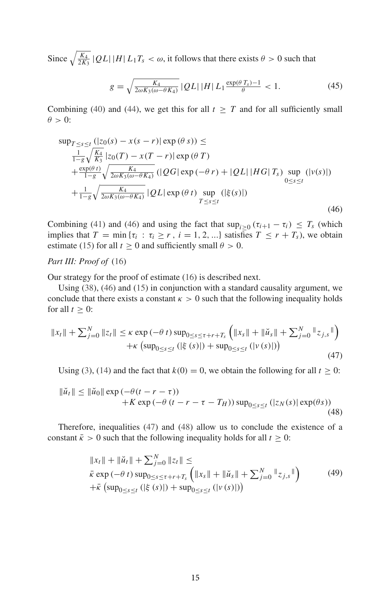Since  $\sqrt{\frac{K_4}{2K_3}}$  | QL| | H| L<sub>1</sub>T<sub>*s*</sub> <  $\omega$ , it follows that there exists  $\theta > 0$  such that

$$
g = \sqrt{\frac{K_4}{2\omega K_3(\omega - \theta K_4)}} |QL| |H| L_1 \frac{\exp(\theta T_s) - 1}{\theta} < 1.
$$
 (45)

Combining (40) and (44), we get this for all  $t \geq T$  and for all sufficiently small  $\theta > 0$ :

$$
\sup_{T \leq s \leq t} (|z_0(s) - x(s - r)| \exp(\theta s)) \leq
$$
\n
$$
\frac{1}{1 - g} \sqrt{\frac{K_4}{K_3}} |z_0(T) - x(T - r)| \exp(\theta T)
$$
\n
$$
+ \frac{\exp(\theta t)}{1 - g} \sqrt{\frac{K_4}{2\omega K_3(\omega - \theta K_4)}} (|QG| \exp(-\theta r) + |QL| |HG| T_s) \sup_{0 \leq s \leq t} (|v(s)|)
$$
\n
$$
+ \frac{1}{1 - g} \sqrt{\frac{K_4}{2\omega K_3(\omega - \theta K_4)}} |QL| \exp(\theta t) \sup_{T \leq s \leq t} (|\xi(s)|)
$$
\n(46)

Combining (41) and (46) and using the fact that  $\sup_{i\geq 0} (\tau_{i+1} - \tau_i) \leq T_s$  (which implies that  $T = \min \{ \tau_i : \tau_i \ge r, i = 1, 2, ...\}$  satisfies  $T \le r + T_s$ , we obtain estimate (15) for all  $t \ge 0$  and sufficiently small  $\theta > 0$ .

#### *Part III: Proof of* (16)

Our strategy for the proof of estimate (16) is described next.

Using (38), (46) and (15) in conjunction with a standard causality argument, we conclude that there exists a constant  $\kappa > 0$  such that the following inequality holds for all  $t \geq 0$ :

$$
||x_t|| + \sum_{j=0}^{N} ||z_t|| \le \kappa \exp(-\theta \ t) \sup_{0 \le s \le t + r + T_s} \left( ||x_s|| + ||\check{u}_s|| + \sum_{j=0}^{N} ||z_{j,s}|| \right) + \kappa \left( \sup_{0 \le s \le t} (|\xi(s)|) + \sup_{0 \le s \le t} (|v(s)|) \right)
$$
(47)

Using (3), (14) and the fact that  $k(0) = 0$ , we obtain the following for all  $t \ge 0$ :

$$
\|\check{u}_t\| \le \|\check{u}_0\| \exp\left(-\theta(t - r - \tau)\right) + K \exp\left(-\theta(t - r - \tau - T_H)\right) \sup_{0 \le s \le t} \left(\left|z_N(s)\right| \exp(\theta s)\right)
$$
\n(48)

Therefore, inequalities (47) and (48) allow us to conclude the existence of a constant  $\bar{k} > 0$  such that the following inequality holds for all  $t \ge 0$ :

$$
||x_t|| + ||\breve{u}_t|| + \sum_{j=0}^{N} ||z_t|| \le
$$
  
\n
$$
\bar{\kappa} \exp(-\theta \ t) \sup_{0 \le s \le \tau + r + T_s} (||x_s|| + ||\breve{u}_s|| + \sum_{j=0}^{N} ||z_{j,s}||)
$$
\n
$$
+ \bar{\kappa} \left( \sup_{0 \le s \le t} (|\xi(s)|) + \sup_{0 \le s \le t} (|v(s)|) \right)
$$
\n(49)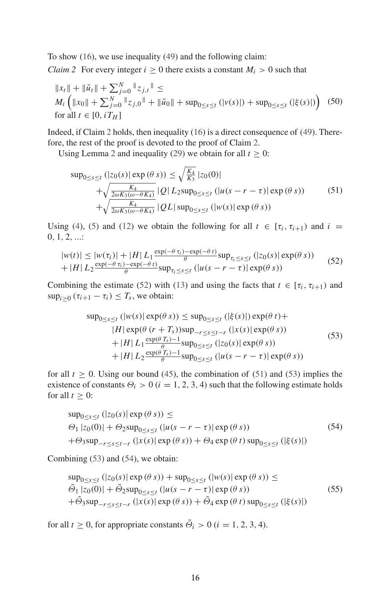To show (16), we use inequality (49) and the following claim:

*Claim 2* For every integer  $i > 0$  there exists a constant  $M_i > 0$  such that

$$
||x_t|| + ||\breve{u}_t|| + \sum_{j=0}^{N} ||z_{j,t}|| \le
$$
  
\n
$$
M_i \left( ||x_0|| + \sum_{j=0}^{N} ||z_{j,0}|| + ||\breve{u}_0|| + \sup_{0 \le s \le t} (|v(s)|) + \sup_{0 \le s \le t} (|\xi(s)|) \right)
$$
(50)  
\nfor all  $t \in [0, iT_H]$ 

Indeed, if Claim 2 holds, then inequality (16) is a direct consequence of (49). Therefore, the rest of the proof is devoted to the proof of Claim 2.

Using Lemma 2 and inequality (29) we obtain for all  $t \geq 0$ :

$$
\sup_{0 \le s \le t} (|z_0(s)| \exp(\theta s)) \le \sqrt{\frac{K_4}{K_3}} |z_0(0)| + \sqrt{\frac{K_4}{2\omega K_3(\omega - \theta K_4)}} |Q| L_2 \sup_{0 \le s \le t} (|u(s - r - \tau)| \exp(\theta s)) + \sqrt{\frac{K_4}{2\omega K_3(\omega - \theta K_4)}} |Q| \sup_{0 \le s \le t} (|w(s)| \exp(\theta s))
$$
\n(51)

Using (4), (5) and (12) we obtain the following for all  $t \in [\tau_i, \tau_{i+1})$  and  $i =$  $0, 1, 2, ...$ 

$$
|w(t)| \le |w(\tau_i)| + |H| L_1 \frac{\exp(-\theta \tau_i) - \exp(-\theta \tau)}{\theta} \sup_{\tau_i \le s \le t} (|z_0(s)| \exp(\theta \ s))
$$
  
+ |H| L\_2 \frac{\exp(-\theta \tau\_i) - \exp(-\theta \tau)}{\theta} \sup\_{\tau\_i \le s \le t} (|u(s - r - \tau)| \exp(\theta \ s)) (52)

Combining the estimate (52) with (13) and using the facts that  $t \in [\tau_i, \tau_{i+1})$  and  $\sup_{i\geq 0} (\tau_{i+1} - \tau_i) \leq T_s$ , we obtain:

$$
\sup_{0 \le s \le t} (|w(s)| \exp(\theta s)) \le \sup_{0 \le s \le t} (|\xi(s)|) \exp(\theta t) +
$$
  
\n
$$
|H| \exp(\theta (r + T_s)) \sup_{-r \le s \le t-r} (|x(s)| \exp(\theta s))
$$
  
\n
$$
+ |H| L_1 \frac{\exp(\theta T_s) - 1}{\theta} \sup_{0 \le s \le t} (|z_0(s)| \exp(\theta s))
$$
  
\n
$$
+ |H| L_2 \frac{\exp(\theta T_s) - 1}{\theta} \sup_{0 \le s \le t} (|u(s - r - \tau)| \exp(\theta s))
$$
\n(53)

for all  $t \geq 0$ . Using our bound (45), the combination of (51) and (53) implies the existence of constants  $\Theta_i > 0$  ( $i = 1, 2, 3, 4$ ) such that the following estimate holds for all  $t \geq 0$ :

$$
\sup_{0 \le s \le t} (|z_0(s)| \exp(\theta s)) \le
$$
  
\n
$$
\Theta_1 |z_0(0)| + \Theta_2 \sup_{0 \le s \le t} (|u(s - r - \tau)| \exp(\theta s))
$$
  
\n
$$
+ \Theta_3 \sup_{-r \le s \le t-r} (|x(s)| \exp(\theta s)) + \Theta_4 \exp(\theta t) \sup_{0 \le s \le t} (|\xi(s)|)
$$
\n(54)

Combining (53) and (54), we obtain:

$$
\sup_{0 \le s \le t} (|z_0(s)| \exp(\theta s)) + \sup_{0 \le s \le t} (|w(s)| \exp(\theta s)) \le
$$
  
\n
$$
\tilde{\Theta}_1 |z_0(0)| + \tilde{\Theta}_2 \sup_{0 \le s \le t} (|u(s - r - \tau)| \exp(\theta s))
$$
\n
$$
+ \tilde{\Theta}_3 \sup_{-r \le s \le t-r} (|x(s)| \exp(\theta s)) + \tilde{\Theta}_4 \exp(\theta t) \sup_{0 \le s \le t} (|\xi(s)|)
$$
\n(55)

for all  $t \geq 0$ , for appropriate constants  $\Theta_i > 0$  ( $i = 1, 2, 3, 4$ ).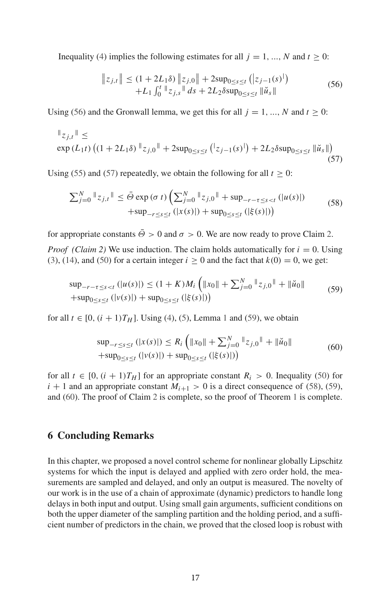Inequality (4) implies the following estimates for all  $j = 1, ..., N$  and  $t \ge 0$ :

$$
\|z_{j,t}\| \le (1 + 2L_1\delta) \|z_{j,0}\| + 2\sup_{0 \le s \le t} (|z_{j-1}(s)|) + L_1 \int_0^t \|z_{j,s}\| ds + 2L_2\delta \sup_{0 \le s \le t} \|\check{u}_s\|
$$
 (56)

Using (56) and the Gronwall lemma, we get this for all  $j = 1, ..., N$  and  $t > 0$ :

$$
\|z_{j,t}\| \le \exp\left(L_1 t\right) \left( (1 + 2L_1 \delta) \, \|z_{j,0}\| + 2\sup_{0 \le s \le t} \left( |z_{j-1}(s)| \right) + 2L_2 \delta \sup_{0 \le s \le t} \| \check{u}_s \| \right) \tag{57}
$$

Using (55) and (57) repeatedly, we obtain the following for all  $t > 0$ :

$$
\sum_{j=0}^{N} \mathbb{I}_{z_{j,t}} \mathbb{I} \le \bar{\Theta} \exp(\sigma t) \left( \sum_{j=0}^{N} \mathbb{I}_{z_{j,0}} \mathbb{I} + \sup_{-r-\tau \le s < t} (|u(s)|) + \sup_{-r \le s \le t} (|z(s)|) + \sup_{0 \le s \le t} (|\xi(s)|) \right) \tag{58}
$$

for appropriate constants  $\overline{\Theta} > 0$  and  $\sigma > 0$ . We are now ready to prove Claim 2.

*Proof (Claim 2)* We use induction. The claim holds automatically for  $i = 0$ . Using (3), (14), and (50) for a certain integer  $i \ge 0$  and the fact that  $k(0) = 0$ , we get:

$$
\sup_{-r-\tau \leq s < t} (|u(s)|) \leq (1+K)M_i \left( \|x_0\| + \sum_{j=0}^N \|z_{j,0}\| + \|\check{u}_0\| \right) \n+ \sup_{0 \leq s \leq t} (|v(s)|) + \sup_{0 \leq s \leq t} (|\xi(s)|) \tag{59}
$$

for all *t* ∈ [0,  $(i + 1)T_H$ ]. Using (4), (5), Lemma 1 and (59), we obtain

$$
\sup_{-r \le s \le t} (|x(s)|) \le R_i \left( \|x_0\| + \sum_{j=0}^N \|z_{j,0}\| + \|\check{u}_0\| \right. \\
\left. + \sup_{0 \le s \le t} (|v(s)|) + \sup_{0 \le s \le t} (|\xi(s)|) \right)
$$
\n(60)

for all  $t \in [0, (i + 1)T_H]$  for an appropriate constant  $R_i > 0$ . Inequality (50) for  $i + 1$  and an appropriate constant  $M_{i+1} > 0$  is a direct consequence of (58), (59), and (60). The proof of Claim 2 is complete, so the proof of Theorem 1 is complete.

### **6 Concluding Remarks**

In this chapter, we proposed a novel control scheme for nonlinear globally Lipschitz systems for which the input is delayed and applied with zero order hold, the measurements are sampled and delayed, and only an output is measured. The novelty of our work is in the use of a chain of approximate (dynamic) predictors to handle long delays in both input and output. Using small gain arguments, sufficient conditions on both the upper diameter of the sampling partition and the holding period, and a sufficient number of predictors in the chain, we proved that the closed loop is robust with